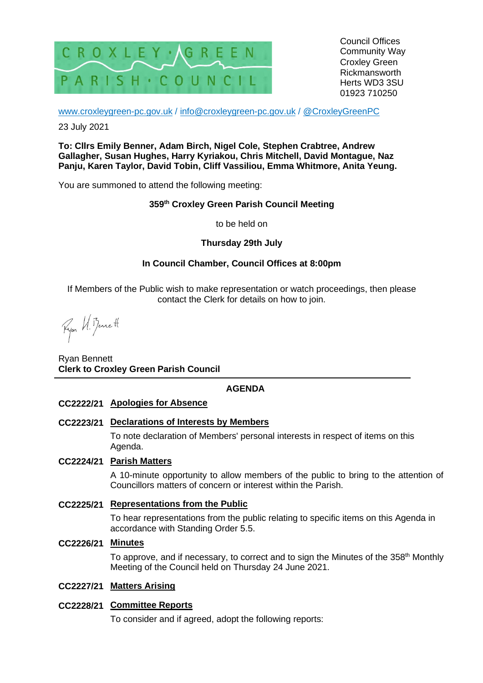

Council Offices Community Way Croxley Green Rickmansworth Herts WD3 3SU 01923 710250

[www.croxleygreen-pc.gov.uk](http://www.croxleygreen-pc.gov.uk/) / [info@croxleygreen-pc.gov.uk](mailto:info@croxleygreen-pc.gov.uk) / [@CroxleyGreenPC](https://twitter.com/CroxleyGreenPC)

23 July 2021

**To: Cllrs Emily Benner, Adam Birch, Nigel Cole, Stephen Crabtree, Andrew Gallagher, Susan Hughes, Harry Kyriakou, Chris Mitchell, David Montague, Naz Panju, Karen Taylor, David Tobin, Cliff Vassiliou, Emma Whitmore, Anita Yeung.**

You are summoned to attend the following meeting:

# **359 th Croxley Green Parish Council Meeting**

to be held on

## **Thursday 29th July**

## **In Council Chamber, Council Offices at 8:00pm**

If Members of the Public wish to make representation or watch proceedings, then please contact the Clerk for details on how to join.

Fyon U. Bennett

Ryan Bennett **Clerk to Croxley Green Parish Council**

# **AGENDA**

#### **CC2222/21 Apologies for Absence**

## **CC2223/21 Declarations of Interests by Members**

To note declaration of Members' personal interests in respect of items on this Agenda.

## **CC2224/21 Parish Matters**

A 10-minute opportunity to allow members of the public to bring to the attention of Councillors matters of concern or interest within the Parish.

#### **CC2225/21 Representations from the Public**

To hear representations from the public relating to specific items on this Agenda in accordance with Standing Order 5.5.

#### **CC2226/21 Minutes**

To approve, and if necessary, to correct and to sign the Minutes of the 358<sup>th</sup> Monthly Meeting of the Council held on Thursday 24 June 2021.

## **CC2227/21 Matters Arising**

## **CC2228/21 Committee Reports**

To consider and if agreed, adopt the following reports: